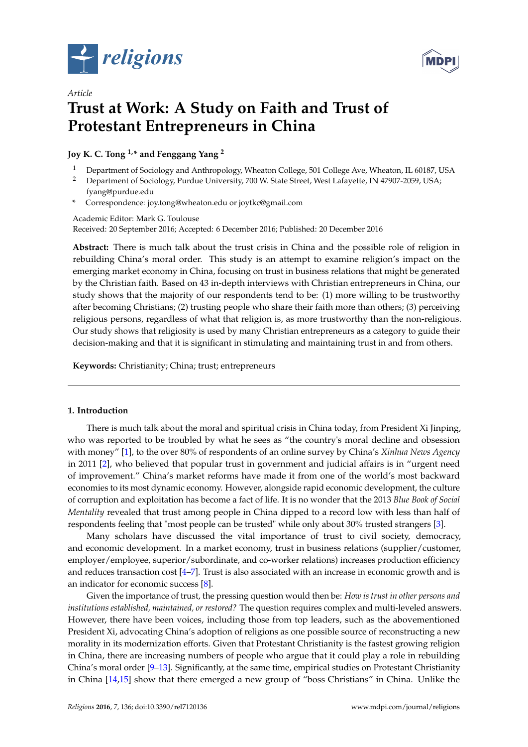

*Article*



# **Trust at Work: A Study on Faith and Trust of Protestant Entrepreneurs in China**

**Joy K. C. Tong 1,\* and Fenggang Yang <sup>2</sup>**

- <sup>1</sup> Department of Sociology and Anthropology, Wheaton College, 501 College Ave, Wheaton, IL 60187, USA<br><sup>2</sup> Department of Sociology, Purdue University, 700 M, State Street, Mest Lafayette, IN 47907 2059, USA
- <sup>2</sup> Department of Sociology, Purdue University, 700 W. State Street, West Lafayette, IN 47907-2059, USA; fyang@purdue.edu
- **\*** Correspondence: joy.tong@wheaton.edu or joytkc@gmail.com

Academic Editor: Mark G. Toulouse Received: 20 September 2016; Accepted: 6 December 2016; Published: 20 December 2016

**Abstract:** There is much talk about the trust crisis in China and the possible role of religion in rebuilding China's moral order. This study is an attempt to examine religion's impact on the emerging market economy in China, focusing on trust in business relations that might be generated by the Christian faith. Based on 43 in-depth interviews with Christian entrepreneurs in China, our study shows that the majority of our respondents tend to be: (1) more willing to be trustworthy after becoming Christians; (2) trusting people who share their faith more than others; (3) perceiving religious persons, regardless of what that religion is, as more trustworthy than the non-religious. Our study shows that religiosity is used by many Christian entrepreneurs as a category to guide their decision-making and that it is significant in stimulating and maintaining trust in and from others.

**Keywords:** Christianity; China; trust; entrepreneurs

## **1. Introduction**

There is much talk about the moral and spiritual crisis in China today, from President Xi Jinping, who was reported to be troubled by what he sees as "the country's moral decline and obsession with money" [\[1\]](#page-10-0), to the over 80% of respondents of an online survey by China's *Xinhua News Agency* in 2011 [\[2\]](#page-10-1), who believed that popular trust in government and judicial affairs is in "urgent need of improvement." China's market reforms have made it from one of the world's most backward economies to its most dynamic economy. However, alongside rapid economic development, the culture of corruption and exploitation has become a fact of life. It is no wonder that the 2013 *Blue Book of Social Mentality* revealed that trust among people in China dipped to a record low with less than half of respondents feeling that "most people can be trusted" while only about 30% trusted strangers [\[3\]](#page-10-2).

Many scholars have discussed the vital importance of trust to civil society, democracy, and economic development. In a market economy, trust in business relations (supplier/customer, employer/employee, superior/subordinate, and co-worker relations) increases production efficiency and reduces transaction cost [\[4](#page-10-3)[–7\]](#page-10-4). Trust is also associated with an increase in economic growth and is an indicator for economic success [\[8\]](#page-10-5).

Given the importance of trust, the pressing question would then be: *How is trust in other persons and institutions established, maintained, or restored?* The question requires complex and multi-leveled answers. However, there have been voices, including those from top leaders, such as the abovementioned President Xi, advocating China's adoption of religions as one possible source of reconstructing a new morality in its modernization efforts. Given that Protestant Christianity is the fastest growing religion in China, there are increasing numbers of people who argue that it could play a role in rebuilding China's moral order [\[9](#page-10-6)[–13\]](#page-10-7). Significantly, at the same time, empirical studies on Protestant Christianity in China [\[14](#page-10-8)[,15\]](#page-10-9) show that there emerged a new group of "boss Christians" in China. Unlike the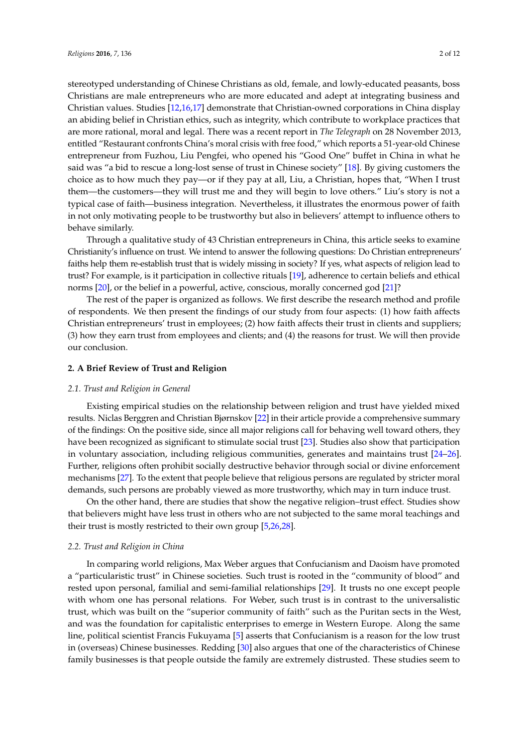stereotyped understanding of Chinese Christians as old, female, and lowly-educated peasants, boss Christians are male entrepreneurs who are more educated and adept at integrating business and Christian values. Studies [\[12](#page-10-10)[,16](#page-10-11)[,17\]](#page-10-12) demonstrate that Christian-owned corporations in China display an abiding belief in Christian ethics, such as integrity, which contribute to workplace practices that are more rational, moral and legal. There was a recent report in *The Telegraph* on 28 November 2013, entitled "Restaurant confronts China's moral crisis with free food," which reports a 51-year-old Chinese entrepreneur from Fuzhou, Liu Pengfei, who opened his "Good One" buffet in China in what he said was "a bid to rescue a long-lost sense of trust in Chinese society" [\[18\]](#page-10-13). By giving customers the choice as to how much they pay—or if they pay at all, Liu, a Christian, hopes that, "When I trust them—the customers—they will trust me and they will begin to love others." Liu's story is not a typical case of faith—business integration. Nevertheless, it illustrates the enormous power of faith in not only motivating people to be trustworthy but also in believers' attempt to influence others to behave similarly.

Through a qualitative study of 43 Christian entrepreneurs in China, this article seeks to examine Christianity's influence on trust. We intend to answer the following questions: Do Christian entrepreneurs' faiths help them re-establish trust that is widely missing in society? If yes, what aspects of religion lead to trust? For example, is it participation in collective rituals [\[19\]](#page-11-0), adherence to certain beliefs and ethical norms [\[20\]](#page-11-1), or the belief in a powerful, active, conscious, morally concerned god [\[21\]](#page-11-2)?

The rest of the paper is organized as follows. We first describe the research method and profile of respondents. We then present the findings of our study from four aspects: (1) how faith affects Christian entrepreneurs' trust in employees; (2) how faith affects their trust in clients and suppliers; (3) how they earn trust from employees and clients; and (4) the reasons for trust. We will then provide our conclusion.

## **2. A Brief Review of Trust and Religion**

#### *2.1. Trust and Religion in General*

Existing empirical studies on the relationship between religion and trust have yielded mixed results. Niclas Berggren and Christian Bjørnskov [\[22\]](#page-11-3) in their article provide a comprehensive summary of the findings: On the positive side, since all major religions call for behaving well toward others, they have been recognized as significant to stimulate social trust [\[23\]](#page-11-4). Studies also show that participation in voluntary association, including religious communities, generates and maintains trust [\[24–](#page-11-5)[26\]](#page-11-6). Further, religions often prohibit socially destructive behavior through social or divine enforcement mechanisms [\[27\]](#page-11-7). To the extent that people believe that religious persons are regulated by stricter moral demands, such persons are probably viewed as more trustworthy, which may in turn induce trust.

On the other hand, there are studies that show the negative religion–trust effect. Studies show that believers might have less trust in others who are not subjected to the same moral teachings and their trust is mostly restricted to their own group [\[5,](#page-10-14)[26,](#page-11-6)[28\]](#page-11-8).

## *2.2. Trust and Religion in China*

In comparing world religions, Max Weber argues that Confucianism and Daoism have promoted a "particularistic trust" in Chinese societies. Such trust is rooted in the "community of blood" and rested upon personal, familial and semi-familial relationships [\[29\]](#page-11-9). It trusts no one except people with whom one has personal relations. For Weber, such trust is in contrast to the universalistic trust, which was built on the "superior community of faith" such as the Puritan sects in the West, and was the foundation for capitalistic enterprises to emerge in Western Europe. Along the same line, political scientist Francis Fukuyama [\[5\]](#page-10-14) asserts that Confucianism is a reason for the low trust in (overseas) Chinese businesses. Redding [\[30\]](#page-11-10) also argues that one of the characteristics of Chinese family businesses is that people outside the family are extremely distrusted. These studies seem to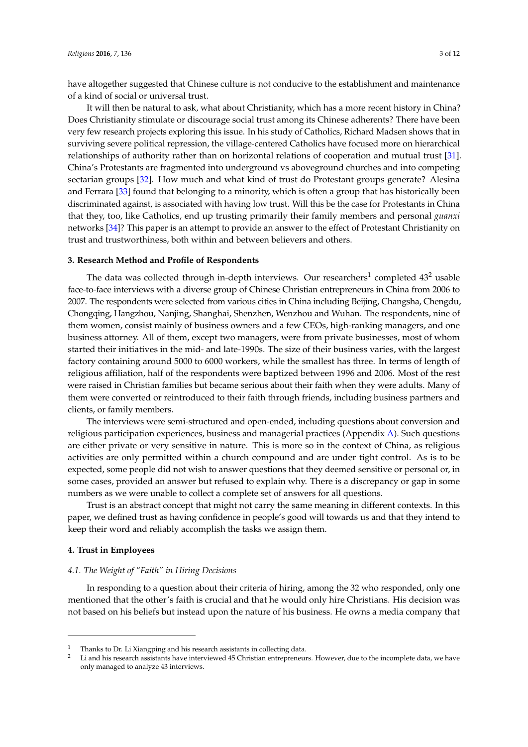have altogether suggested that Chinese culture is not conducive to the establishment and maintenance of a kind of social or universal trust.

It will then be natural to ask, what about Christianity, which has a more recent history in China? Does Christianity stimulate or discourage social trust among its Chinese adherents? There have been very few research projects exploring this issue. In his study of Catholics, Richard Madsen shows that in surviving severe political repression, the village-centered Catholics have focused more on hierarchical relationships of authority rather than on horizontal relations of cooperation and mutual trust [\[31\]](#page-11-11). China's Protestants are fragmented into underground vs aboveground churches and into competing sectarian groups [\[32\]](#page-11-12). How much and what kind of trust do Protestant groups generate? Alesina and Ferrara [\[33\]](#page-11-13) found that belonging to a minority, which is often a group that has historically been discriminated against, is associated with having low trust. Will this be the case for Protestants in China that they, too, like Catholics, end up trusting primarily their family members and personal *guanxi* networks [\[34\]](#page-11-14)? This paper is an attempt to provide an answer to the effect of Protestant Christianity on trust and trustworthiness, both within and between believers and others.

## **3. Research Method and Profile of Respondents**

The data was collected through in-depth interviews. Our researchers<sup>1</sup> completed  $43^2$  usable face-to-face interviews with a diverse group of Chinese Christian entrepreneurs in China from 2006 to 2007. The respondents were selected from various cities in China including Beijing, Changsha, Chengdu, Chongqing, Hangzhou, Nanjing, Shanghai, Shenzhen, Wenzhou and Wuhan. The respondents, nine of them women, consist mainly of business owners and a few CEOs, high-ranking managers, and one business attorney. All of them, except two managers, were from private businesses, most of whom started their initiatives in the mid- and late-1990s. The size of their business varies, with the largest factory containing around 5000 to 6000 workers, while the smallest has three. In terms of length of religious affiliation, half of the respondents were baptized between 1996 and 2006. Most of the rest were raised in Christian families but became serious about their faith when they were adults. Many of them were converted or reintroduced to their faith through friends, including business partners and clients, or family members.

The interviews were semi-structured and open-ended, including questions about conversion and religious participation experiences, business and managerial practices (Appendix [A\)](#page-9-0). Such questions are either private or very sensitive in nature. This is more so in the context of China, as religious activities are only permitted within a church compound and are under tight control. As is to be expected, some people did not wish to answer questions that they deemed sensitive or personal or, in some cases, provided an answer but refused to explain why. There is a discrepancy or gap in some numbers as we were unable to collect a complete set of answers for all questions.

Trust is an abstract concept that might not carry the same meaning in different contexts. In this paper, we defined trust as having confidence in people's good will towards us and that they intend to keep their word and reliably accomplish the tasks we assign them.

## **4. Trust in Employees**

## *4.1. The Weight of "Faith" in Hiring Decisions*

In responding to a question about their criteria of hiring, among the 32 who responded, only one mentioned that the other's faith is crucial and that he would only hire Christians. His decision was not based on his beliefs but instead upon the nature of his business. He owns a media company that

<sup>&</sup>lt;sup>1</sup> Thanks to Dr. Li Xiangping and his research assistants in collecting data.<br><sup>2</sup> Li and his research assistants have interviewed 45 Christian entrepreneuve

<sup>2</sup> Li and his research assistants have interviewed 45 Christian entrepreneurs. However, due to the incomplete data, we have only managed to analyze 43 interviews.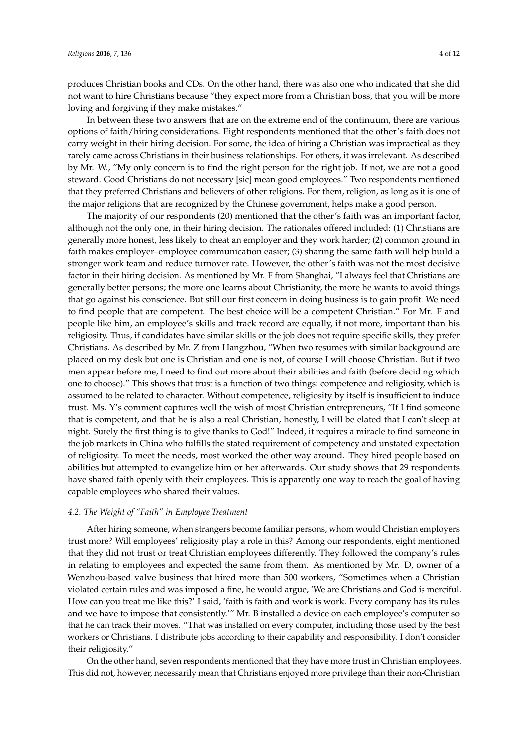produces Christian books and CDs. On the other hand, there was also one who indicated that she did not want to hire Christians because "they expect more from a Christian boss, that you will be more loving and forgiving if they make mistakes."

In between these two answers that are on the extreme end of the continuum, there are various options of faith/hiring considerations. Eight respondents mentioned that the other's faith does not carry weight in their hiring decision. For some, the idea of hiring a Christian was impractical as they rarely came across Christians in their business relationships. For others, it was irrelevant. As described by Mr. W., "My only concern is to find the right person for the right job. If not, we are not a good steward. Good Christians do not necessary [sic] mean good employees." Two respondents mentioned that they preferred Christians and believers of other religions. For them, religion, as long as it is one of the major religions that are recognized by the Chinese government, helps make a good person.

The majority of our respondents (20) mentioned that the other's faith was an important factor, although not the only one, in their hiring decision. The rationales offered included: (1) Christians are generally more honest, less likely to cheat an employer and they work harder; (2) common ground in faith makes employer–employee communication easier; (3) sharing the same faith will help build a stronger work team and reduce turnover rate. However, the other's faith was not the most decisive factor in their hiring decision. As mentioned by Mr. F from Shanghai, "I always feel that Christians are generally better persons; the more one learns about Christianity, the more he wants to avoid things that go against his conscience. But still our first concern in doing business is to gain profit. We need to find people that are competent. The best choice will be a competent Christian." For Mr. F and people like him, an employee's skills and track record are equally, if not more, important than his religiosity. Thus, if candidates have similar skills or the job does not require specific skills, they prefer Christians. As described by Mr. Z from Hangzhou, "When two resumes with similar background are placed on my desk but one is Christian and one is not, of course I will choose Christian. But if two men appear before me, I need to find out more about their abilities and faith (before deciding which one to choose)." This shows that trust is a function of two things: competence and religiosity, which is assumed to be related to character. Without competence, religiosity by itself is insufficient to induce trust. Ms. Y's comment captures well the wish of most Christian entrepreneurs, "If I find someone that is competent, and that he is also a real Christian, honestly, I will be elated that I can't sleep at night. Surely the first thing is to give thanks to God!" Indeed, it requires a miracle to find someone in the job markets in China who fulfills the stated requirement of competency and unstated expectation of religiosity. To meet the needs, most worked the other way around. They hired people based on abilities but attempted to evangelize him or her afterwards. Our study shows that 29 respondents have shared faith openly with their employees. This is apparently one way to reach the goal of having capable employees who shared their values.

## *4.2. The Weight of "Faith" in Employee Treatment*

After hiring someone, when strangers become familiar persons, whom would Christian employers trust more? Will employees' religiosity play a role in this? Among our respondents, eight mentioned that they did not trust or treat Christian employees differently. They followed the company's rules in relating to employees and expected the same from them. As mentioned by Mr. D, owner of a Wenzhou-based valve business that hired more than 500 workers, "Sometimes when a Christian violated certain rules and was imposed a fine, he would argue, 'We are Christians and God is merciful. How can you treat me like this?' I said, 'faith is faith and work is work. Every company has its rules and we have to impose that consistently.'" Mr. B installed a device on each employee's computer so that he can track their moves. "That was installed on every computer, including those used by the best workers or Christians. I distribute jobs according to their capability and responsibility. I don't consider their religiosity."

On the other hand, seven respondents mentioned that they have more trust in Christian employees. This did not, however, necessarily mean that Christians enjoyed more privilege than their non-Christian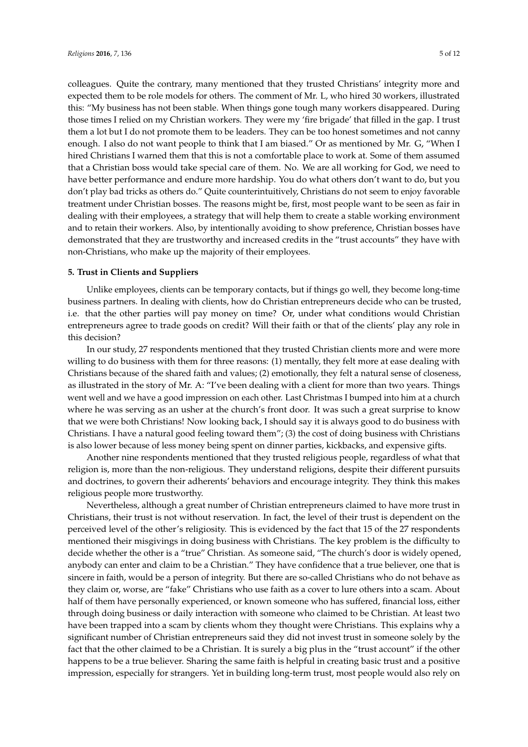colleagues. Quite the contrary, many mentioned that they trusted Christians' integrity more and expected them to be role models for others. The comment of Mr. L, who hired 30 workers, illustrated this: "My business has not been stable. When things gone tough many workers disappeared. During those times I relied on my Christian workers. They were my 'fire brigade' that filled in the gap. I trust them a lot but I do not promote them to be leaders. They can be too honest sometimes and not canny enough. I also do not want people to think that I am biased." Or as mentioned by Mr. G, "When I hired Christians I warned them that this is not a comfortable place to work at. Some of them assumed that a Christian boss would take special care of them. No. We are all working for God, we need to have better performance and endure more hardship. You do what others don't want to do, but you don't play bad tricks as others do." Quite counterintuitively, Christians do not seem to enjoy favorable treatment under Christian bosses. The reasons might be, first, most people want to be seen as fair in dealing with their employees, a strategy that will help them to create a stable working environment and to retain their workers. Also, by intentionally avoiding to show preference, Christian bosses have demonstrated that they are trustworthy and increased credits in the "trust accounts" they have with

# **5. Trust in Clients and Suppliers**

non-Christians, who make up the majority of their employees.

Unlike employees, clients can be temporary contacts, but if things go well, they become long-time business partners. In dealing with clients, how do Christian entrepreneurs decide who can be trusted, i.e. that the other parties will pay money on time? Or, under what conditions would Christian entrepreneurs agree to trade goods on credit? Will their faith or that of the clients' play any role in this decision?

In our study, 27 respondents mentioned that they trusted Christian clients more and were more willing to do business with them for three reasons: (1) mentally, they felt more at ease dealing with Christians because of the shared faith and values; (2) emotionally, they felt a natural sense of closeness, as illustrated in the story of Mr. A: "I've been dealing with a client for more than two years. Things went well and we have a good impression on each other. Last Christmas I bumped into him at a church where he was serving as an usher at the church's front door. It was such a great surprise to know that we were both Christians! Now looking back, I should say it is always good to do business with Christians. I have a natural good feeling toward them"; (3) the cost of doing business with Christians is also lower because of less money being spent on dinner parties, kickbacks, and expensive gifts.

Another nine respondents mentioned that they trusted religious people, regardless of what that religion is, more than the non-religious. They understand religions, despite their different pursuits and doctrines, to govern their adherents' behaviors and encourage integrity. They think this makes religious people more trustworthy.

Nevertheless, although a great number of Christian entrepreneurs claimed to have more trust in Christians, their trust is not without reservation. In fact, the level of their trust is dependent on the perceived level of the other's religiosity. This is evidenced by the fact that 15 of the 27 respondents mentioned their misgivings in doing business with Christians. The key problem is the difficulty to decide whether the other is a "true" Christian. As someone said, "The church's door is widely opened, anybody can enter and claim to be a Christian." They have confidence that a true believer, one that is sincere in faith, would be a person of integrity. But there are so-called Christians who do not behave as they claim or, worse, are "fake" Christians who use faith as a cover to lure others into a scam. About half of them have personally experienced, or known someone who has suffered, financial loss, either through doing business or daily interaction with someone who claimed to be Christian. At least two have been trapped into a scam by clients whom they thought were Christians. This explains why a significant number of Christian entrepreneurs said they did not invest trust in someone solely by the fact that the other claimed to be a Christian. It is surely a big plus in the "trust account" if the other happens to be a true believer. Sharing the same faith is helpful in creating basic trust and a positive impression, especially for strangers. Yet in building long-term trust, most people would also rely on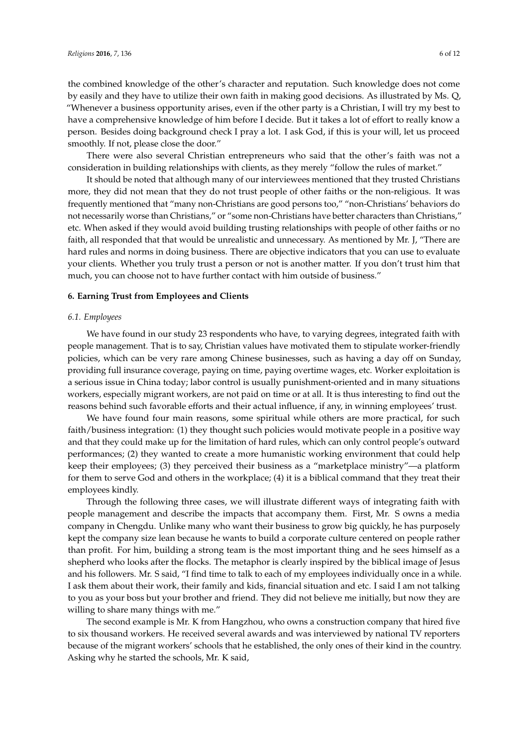There were also several Christian entrepreneurs who said that the other's faith was not a consideration in building relationships with clients, as they merely "follow the rules of market."

It should be noted that although many of our interviewees mentioned that they trusted Christians more, they did not mean that they do not trust people of other faiths or the non-religious. It was frequently mentioned that "many non-Christians are good persons too," "non-Christians' behaviors do not necessarily worse than Christians," or "some non-Christians have better characters than Christians," etc. When asked if they would avoid building trusting relationships with people of other faiths or no faith, all responded that that would be unrealistic and unnecessary. As mentioned by Mr. J, "There are hard rules and norms in doing business. There are objective indicators that you can use to evaluate your clients. Whether you truly trust a person or not is another matter. If you don't trust him that much, you can choose not to have further contact with him outside of business."

## **6. Earning Trust from Employees and Clients**

## *6.1. Employees*

We have found in our study 23 respondents who have, to varying degrees, integrated faith with people management. That is to say, Christian values have motivated them to stipulate worker-friendly policies, which can be very rare among Chinese businesses, such as having a day off on Sunday, providing full insurance coverage, paying on time, paying overtime wages, etc. Worker exploitation is a serious issue in China today; labor control is usually punishment-oriented and in many situations workers, especially migrant workers, are not paid on time or at all. It is thus interesting to find out the reasons behind such favorable efforts and their actual influence, if any, in winning employees' trust.

We have found four main reasons, some spiritual while others are more practical, for such faith/business integration: (1) they thought such policies would motivate people in a positive way and that they could make up for the limitation of hard rules, which can only control people's outward performances; (2) they wanted to create a more humanistic working environment that could help keep their employees; (3) they perceived their business as a "marketplace ministry"—a platform for them to serve God and others in the workplace; (4) it is a biblical command that they treat their employees kindly.

Through the following three cases, we will illustrate different ways of integrating faith with people management and describe the impacts that accompany them. First, Mr. S owns a media company in Chengdu. Unlike many who want their business to grow big quickly, he has purposely kept the company size lean because he wants to build a corporate culture centered on people rather than profit. For him, building a strong team is the most important thing and he sees himself as a shepherd who looks after the flocks. The metaphor is clearly inspired by the biblical image of Jesus and his followers. Mr. S said, "I find time to talk to each of my employees individually once in a while. I ask them about their work, their family and kids, financial situation and etc. I said I am not talking to you as your boss but your brother and friend. They did not believe me initially, but now they are willing to share many things with me."

The second example is Mr. K from Hangzhou, who owns a construction company that hired five to six thousand workers. He received several awards and was interviewed by national TV reporters because of the migrant workers' schools that he established, the only ones of their kind in the country. Asking why he started the schools, Mr. K said,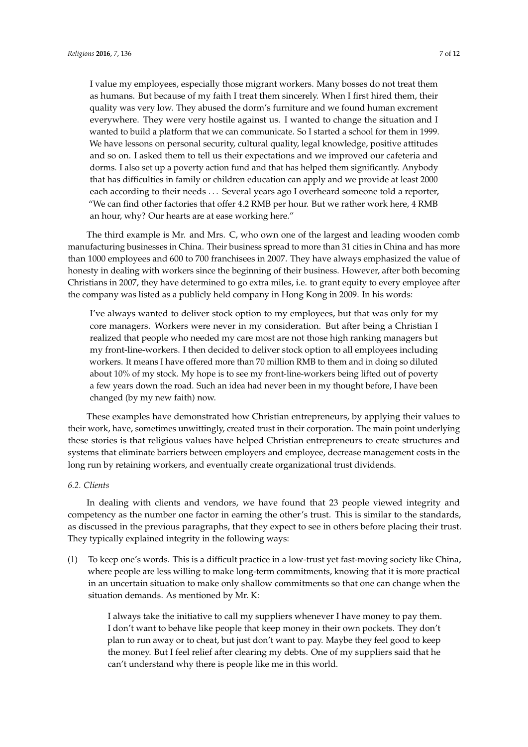I value my employees, especially those migrant workers. Many bosses do not treat them as humans. But because of my faith I treat them sincerely. When I first hired them, their quality was very low. They abused the dorm's furniture and we found human excrement everywhere. They were very hostile against us. I wanted to change the situation and I wanted to build a platform that we can communicate. So I started a school for them in 1999. We have lessons on personal security, cultural quality, legal knowledge, positive attitudes and so on. I asked them to tell us their expectations and we improved our cafeteria and dorms. I also set up a poverty action fund and that has helped them significantly. Anybody that has difficulties in family or children education can apply and we provide at least 2000 each according to their needs . . . Several years ago I overheard someone told a reporter, "We can find other factories that offer 4.2 RMB per hour. But we rather work here, 4 RMB an hour, why? Our hearts are at ease working here."

The third example is Mr. and Mrs. C, who own one of the largest and leading wooden comb manufacturing businesses in China. Their business spread to more than 31 cities in China and has more than 1000 employees and 600 to 700 franchisees in 2007. They have always emphasized the value of honesty in dealing with workers since the beginning of their business. However, after both becoming Christians in 2007, they have determined to go extra miles, i.e. to grant equity to every employee after the company was listed as a publicly held company in Hong Kong in 2009. In his words:

I've always wanted to deliver stock option to my employees, but that was only for my core managers. Workers were never in my consideration. But after being a Christian I realized that people who needed my care most are not those high ranking managers but my front-line-workers. I then decided to deliver stock option to all employees including workers. It means I have offered more than 70 million RMB to them and in doing so diluted about 10% of my stock. My hope is to see my front-line-workers being lifted out of poverty a few years down the road. Such an idea had never been in my thought before, I have been changed (by my new faith) now.

These examples have demonstrated how Christian entrepreneurs, by applying their values to their work, have, sometimes unwittingly, created trust in their corporation. The main point underlying these stories is that religious values have helped Christian entrepreneurs to create structures and systems that eliminate barriers between employers and employee, decrease management costs in the long run by retaining workers, and eventually create organizational trust dividends.

### *6.2. Clients*

In dealing with clients and vendors, we have found that 23 people viewed integrity and competency as the number one factor in earning the other's trust. This is similar to the standards, as discussed in the previous paragraphs, that they expect to see in others before placing their trust. They typically explained integrity in the following ways:

(1) To keep one's words. This is a difficult practice in a low-trust yet fast-moving society like China, where people are less willing to make long-term commitments, knowing that it is more practical in an uncertain situation to make only shallow commitments so that one can change when the situation demands. As mentioned by Mr. K:

> I always take the initiative to call my suppliers whenever I have money to pay them. I don't want to behave like people that keep money in their own pockets. They don't plan to run away or to cheat, but just don't want to pay. Maybe they feel good to keep the money. But I feel relief after clearing my debts. One of my suppliers said that he can't understand why there is people like me in this world.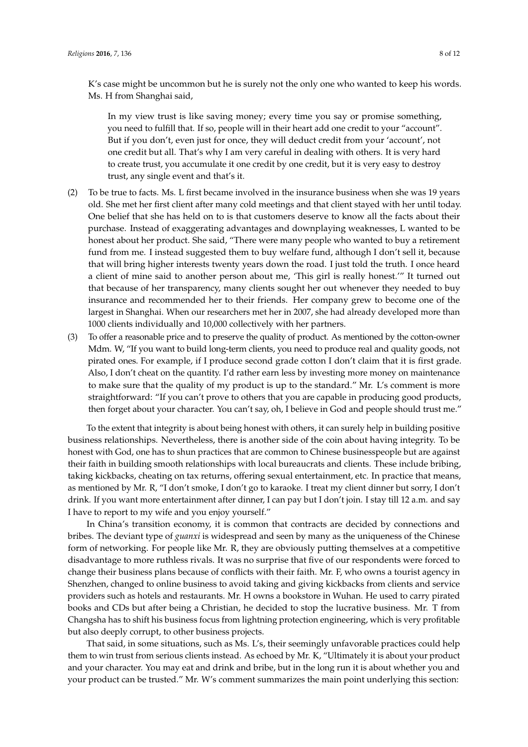K's case might be uncommon but he is surely not the only one who wanted to keep his words. Ms. H from Shanghai said,

In my view trust is like saving money; every time you say or promise something, you need to fulfill that. If so, people will in their heart add one credit to your "account". But if you don't, even just for once, they will deduct credit from your 'account', not one credit but all. That's why I am very careful in dealing with others. It is very hard to create trust, you accumulate it one credit by one credit, but it is very easy to destroy trust, any single event and that's it.

- (2) To be true to facts. Ms. L first became involved in the insurance business when she was 19 years old. She met her first client after many cold meetings and that client stayed with her until today. One belief that she has held on to is that customers deserve to know all the facts about their purchase. Instead of exaggerating advantages and downplaying weaknesses, L wanted to be honest about her product. She said, "There were many people who wanted to buy a retirement fund from me. I instead suggested them to buy welfare fund, although I don't sell it, because that will bring higher interests twenty years down the road. I just told the truth. I once heard a client of mine said to another person about me, 'This girl is really honest.'" It turned out that because of her transparency, many clients sought her out whenever they needed to buy insurance and recommended her to their friends. Her company grew to become one of the largest in Shanghai. When our researchers met her in 2007, she had already developed more than 1000 clients individually and 10,000 collectively with her partners.
- (3) To offer a reasonable price and to preserve the quality of product. As mentioned by the cotton-owner Mdm. W, "If you want to build long-term clients, you need to produce real and quality goods, not pirated ones. For example, if I produce second grade cotton I don't claim that it is first grade. Also, I don't cheat on the quantity. I'd rather earn less by investing more money on maintenance to make sure that the quality of my product is up to the standard." Mr. L's comment is more straightforward: "If you can't prove to others that you are capable in producing good products, then forget about your character. You can't say, oh, I believe in God and people should trust me."

To the extent that integrity is about being honest with others, it can surely help in building positive business relationships. Nevertheless, there is another side of the coin about having integrity. To be honest with God, one has to shun practices that are common to Chinese businesspeople but are against their faith in building smooth relationships with local bureaucrats and clients. These include bribing, taking kickbacks, cheating on tax returns, offering sexual entertainment, etc. In practice that means, as mentioned by Mr. R, "I don't smoke, I don't go to karaoke. I treat my client dinner but sorry, I don't drink. If you want more entertainment after dinner, I can pay but I don't join. I stay till 12 a.m. and say I have to report to my wife and you enjoy yourself."

In China's transition economy, it is common that contracts are decided by connections and bribes. The deviant type of *guanxi* is widespread and seen by many as the uniqueness of the Chinese form of networking. For people like Mr. R, they are obviously putting themselves at a competitive disadvantage to more ruthless rivals. It was no surprise that five of our respondents were forced to change their business plans because of conflicts with their faith. Mr. F, who owns a tourist agency in Shenzhen, changed to online business to avoid taking and giving kickbacks from clients and service providers such as hotels and restaurants. Mr. H owns a bookstore in Wuhan. He used to carry pirated books and CDs but after being a Christian, he decided to stop the lucrative business. Mr. T from Changsha has to shift his business focus from lightning protection engineering, which is very profitable but also deeply corrupt, to other business projects.

That said, in some situations, such as Ms. L's, their seemingly unfavorable practices could help them to win trust from serious clients instead. As echoed by Mr. K, "Ultimately it is about your product and your character. You may eat and drink and bribe, but in the long run it is about whether you and your product can be trusted." Mr. W's comment summarizes the main point underlying this section: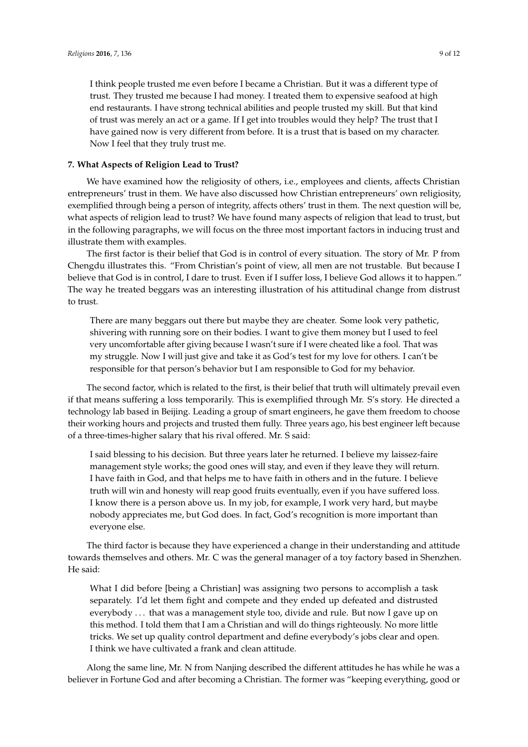I think people trusted me even before I became a Christian. But it was a different type of trust. They trusted me because I had money. I treated them to expensive seafood at high end restaurants. I have strong technical abilities and people trusted my skill. But that kind of trust was merely an act or a game. If I get into troubles would they help? The trust that I have gained now is very different from before. It is a trust that is based on my character. Now I feel that they truly trust me.

## **7. What Aspects of Religion Lead to Trust?**

We have examined how the religiosity of others, i.e., employees and clients, affects Christian entrepreneurs' trust in them. We have also discussed how Christian entrepreneurs' own religiosity, exemplified through being a person of integrity, affects others' trust in them. The next question will be, what aspects of religion lead to trust? We have found many aspects of religion that lead to trust, but in the following paragraphs, we will focus on the three most important factors in inducing trust and illustrate them with examples.

The first factor is their belief that God is in control of every situation. The story of Mr. P from Chengdu illustrates this. "From Christian's point of view, all men are not trustable. But because I believe that God is in control, I dare to trust. Even if I suffer loss, I believe God allows it to happen." The way he treated beggars was an interesting illustration of his attitudinal change from distrust to trust.

There are many beggars out there but maybe they are cheater. Some look very pathetic, shivering with running sore on their bodies. I want to give them money but I used to feel very uncomfortable after giving because I wasn't sure if I were cheated like a fool. That was my struggle. Now I will just give and take it as God's test for my love for others. I can't be responsible for that person's behavior but I am responsible to God for my behavior.

The second factor, which is related to the first, is their belief that truth will ultimately prevail even if that means suffering a loss temporarily. This is exemplified through Mr. S's story. He directed a technology lab based in Beijing. Leading a group of smart engineers, he gave them freedom to choose their working hours and projects and trusted them fully. Three years ago, his best engineer left because of a three-times-higher salary that his rival offered. Mr. S said:

I said blessing to his decision. But three years later he returned. I believe my laissez-faire management style works; the good ones will stay, and even if they leave they will return. I have faith in God, and that helps me to have faith in others and in the future. I believe truth will win and honesty will reap good fruits eventually, even if you have suffered loss. I know there is a person above us. In my job, for example, I work very hard, but maybe nobody appreciates me, but God does. In fact, God's recognition is more important than everyone else.

The third factor is because they have experienced a change in their understanding and attitude towards themselves and others. Mr. C was the general manager of a toy factory based in Shenzhen. He said:

What I did before [being a Christian] was assigning two persons to accomplish a task separately. I'd let them fight and compete and they ended up defeated and distrusted everybody . . . that was a management style too, divide and rule. But now I gave up on this method. I told them that I am a Christian and will do things righteously. No more little tricks. We set up quality control department and define everybody's jobs clear and open. I think we have cultivated a frank and clean attitude.

Along the same line, Mr. N from Nanjing described the different attitudes he has while he was a believer in Fortune God and after becoming a Christian. The former was "keeping everything, good or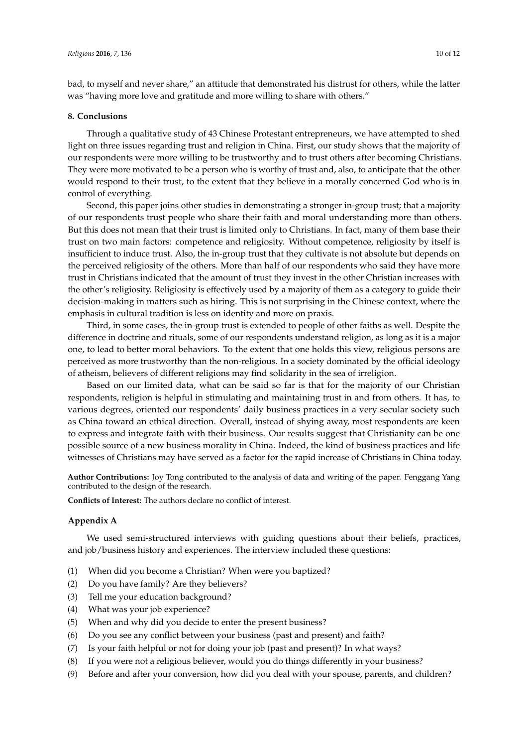bad, to myself and never share," an attitude that demonstrated his distrust for others, while the latter was "having more love and gratitude and more willing to share with others."

# **8. Conclusions**

Through a qualitative study of 43 Chinese Protestant entrepreneurs, we have attempted to shed light on three issues regarding trust and religion in China. First, our study shows that the majority of our respondents were more willing to be trustworthy and to trust others after becoming Christians. They were more motivated to be a person who is worthy of trust and, also, to anticipate that the other would respond to their trust, to the extent that they believe in a morally concerned God who is in control of everything.

Second, this paper joins other studies in demonstrating a stronger in-group trust; that a majority of our respondents trust people who share their faith and moral understanding more than others. But this does not mean that their trust is limited only to Christians. In fact, many of them base their trust on two main factors: competence and religiosity. Without competence, religiosity by itself is insufficient to induce trust. Also, the in-group trust that they cultivate is not absolute but depends on the perceived religiosity of the others. More than half of our respondents who said they have more trust in Christians indicated that the amount of trust they invest in the other Christian increases with the other's religiosity. Religiosity is effectively used by a majority of them as a category to guide their decision-making in matters such as hiring. This is not surprising in the Chinese context, where the emphasis in cultural tradition is less on identity and more on praxis.

Third, in some cases, the in-group trust is extended to people of other faiths as well. Despite the difference in doctrine and rituals, some of our respondents understand religion, as long as it is a major one, to lead to better moral behaviors. To the extent that one holds this view, religious persons are perceived as more trustworthy than the non-religious. In a society dominated by the official ideology of atheism, believers of different religions may find solidarity in the sea of irreligion.

Based on our limited data, what can be said so far is that for the majority of our Christian respondents, religion is helpful in stimulating and maintaining trust in and from others. It has, to various degrees, oriented our respondents' daily business practices in a very secular society such as China toward an ethical direction. Overall, instead of shying away, most respondents are keen to express and integrate faith with their business. Our results suggest that Christianity can be one possible source of a new business morality in China. Indeed, the kind of business practices and life witnesses of Christians may have served as a factor for the rapid increase of Christians in China today.

**Author Contributions:** Joy Tong contributed to the analysis of data and writing of the paper. Fenggang Yang contributed to the design of the research.

**Conflicts of Interest:** The authors declare no conflict of interest.

# <span id="page-9-0"></span>**Appendix A**

We used semi-structured interviews with guiding questions about their beliefs, practices, and job/business history and experiences. The interview included these questions:

- (1) When did you become a Christian? When were you baptized?
- (2) Do you have family? Are they believers?
- (3) Tell me your education background?
- (4) What was your job experience?
- (5) When and why did you decide to enter the present business?
- (6) Do you see any conflict between your business (past and present) and faith?
- (7) Is your faith helpful or not for doing your job (past and present)? In what ways?
- (8) If you were not a religious believer, would you do things differently in your business?
- (9) Before and after your conversion, how did you deal with your spouse, parents, and children?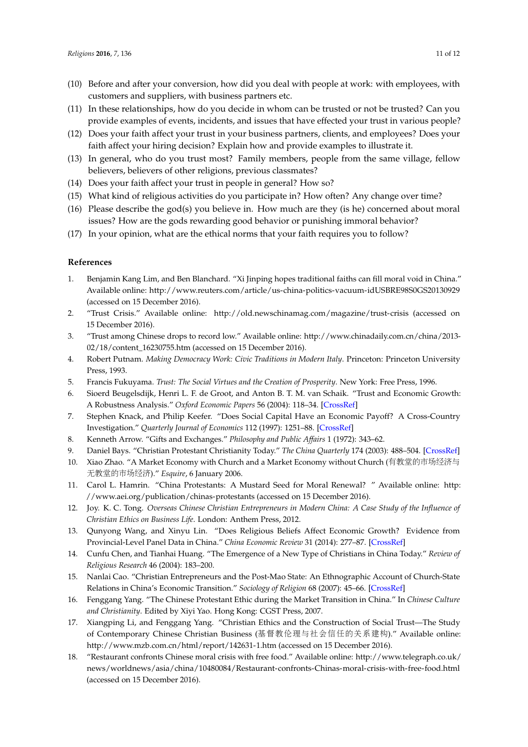- (10) Before and after your conversion, how did you deal with people at work: with employees, with customers and suppliers, with business partners etc.
- (11) In these relationships, how do you decide in whom can be trusted or not be trusted? Can you provide examples of events, incidents, and issues that have effected your trust in various people?
- (12) Does your faith affect your trust in your business partners, clients, and employees? Does your faith affect your hiring decision? Explain how and provide examples to illustrate it.
- (13) In general, who do you trust most? Family members, people from the same village, fellow believers, believers of other religions, previous classmates?
- (14) Does your faith affect your trust in people in general? How so?
- (15) What kind of religious activities do you participate in? How often? Any change over time?
- (16) Please describe the god(s) you believe in. How much are they (is he) concerned about moral issues? How are the gods rewarding good behavior or punishing immoral behavior?
- (17) In your opinion, what are the ethical norms that your faith requires you to follow?

## **References**

- <span id="page-10-0"></span>1. Benjamin Kang Lim, and Ben Blanchard. "Xi Jinping hopes traditional faiths can fill moral void in China." Available online: <http://www.reuters.com/article/us-china-politics-vacuum-idUSBRE98S0GS20130929> (accessed on 15 December 2016).
- <span id="page-10-1"></span>2. "Trust Crisis." Available online: <http://old.newschinamag.com/magazine/trust-crisis> (accessed on 15 December 2016).
- <span id="page-10-2"></span>3. "Trust among Chinese drops to record low." Available online: [http://www.chinadaily.com.cn/china/2013-](http://www.chinadaily.com.cn/china/2013-02/18/content_16230755.htm) [02/18/content\\_16230755.htm](http://www.chinadaily.com.cn/china/2013-02/18/content_16230755.htm) (accessed on 15 December 2016).
- <span id="page-10-3"></span>4. Robert Putnam. *Making Democracy Work: Civic Traditions in Modern Italy*. Princeton: Princeton University Press, 1993.
- <span id="page-10-14"></span>5. Francis Fukuyama. *Trust: The Social Virtues and the Creation of Prosperity*. New York: Free Press, 1996.
- 6. Sioerd Beugelsdijk, Henri L. F. de Groot, and Anton B. T. M. van Schaik. "Trust and Economic Growth: A Robustness Analysis." *Oxford Economic Papers* 56 (2004): 118–34. [\[CrossRef\]](http://dx.doi.org/10.1093/oep/56.1.118)
- <span id="page-10-4"></span>7. Stephen Knack, and Philip Keefer. "Does Social Capital Have an Economic Payoff? A Cross-Country Investigation." *Quarterly Journal of Economics* 112 (1997): 1251–88. [\[CrossRef\]](http://dx.doi.org/10.1162/003355300555475)
- <span id="page-10-5"></span>8. Kenneth Arrow. "Gifts and Exchanges." *Philosophy and Public Affairs* 1 (1972): 343–62.
- <span id="page-10-6"></span>9. Daniel Bays. "Christian Protestant Christianity Today." *The China Quarterly* 174 (2003): 488–504. [\[CrossRef\]](http://dx.doi.org/10.1017/S0009443903000299)
- 10. Xiao Zhao. "A Market Economy with Church and a Market Economy without Church (有教堂的市场经济与 无教堂的市场经济)." *Esquire*, 6 January 2006.
- 11. Carol L. Hamrin. "China Protestants: A Mustard Seed for Moral Renewal? " Available online: [http:](http://www.aei.org/publication/chinas-protestants) [//www.aei.org/publication/chinas-protestants](http://www.aei.org/publication/chinas-protestants) (accessed on 15 December 2016).
- <span id="page-10-10"></span>12. Joy. K. C. Tong. *Overseas Chinese Christian Entrepreneurs in Modern China: A Case Study of the Influence of Christian Ethics on Business Life*. London: Anthem Press, 2012.
- <span id="page-10-7"></span>13. Qunyong Wang, and Xinyu Lin. "Does Religious Beliefs Affect Economic Growth? Evidence from Provincial-Level Panel Data in China." *China Economic Review* 31 (2014): 277–87. [\[CrossRef\]](http://dx.doi.org/10.1016/j.chieco.2014.10.006)
- <span id="page-10-8"></span>14. Cunfu Chen, and Tianhai Huang. "The Emergence of a New Type of Christians in China Today." *Review of Religious Research* 46 (2004): 183–200.
- <span id="page-10-9"></span>15. Nanlai Cao. "Christian Entrepreneurs and the Post-Mao State: An Ethnographic Account of Church-State Relations in China's Economic Transition." *Sociology of Religion* 68 (2007): 45–66. [\[CrossRef\]](http://dx.doi.org/10.1093/socrel/68.1.45)
- <span id="page-10-11"></span>16. Fenggang Yang. "The Chinese Protestant Ethic during the Market Transition in China." In *Chinese Culture and Christianity*. Edited by Xiyi Yao. Hong Kong: CGST Press, 2007.
- <span id="page-10-12"></span>17. Xiangping Li, and Fenggang Yang. "Christian Ethics and the Construction of Social Trust—The Study of Contemporary Chinese Christian Business (基督教伦理与社会信任的关系建构)." Available online: <http://www.mzb.com.cn/html/report/142631-1.htm> (accessed on 15 December 2016).
- <span id="page-10-13"></span>18. "Restaurant confronts Chinese moral crisis with free food." Available online: [http://www.telegraph.co.uk/](http://www.telegraph.co.uk/news/worldnews/asia/china/10480084/Restaurant-confronts-Chinas-moral-crisis-with-free-food.html) [news/worldnews/asia/china/10480084/Restaurant-confronts-Chinas-moral-crisis-with-free-food.html](http://www.telegraph.co.uk/news/worldnews/asia/china/10480084/Restaurant-confronts-Chinas-moral-crisis-with-free-food.html) (accessed on 15 December 2016).